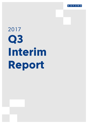

# 2017 **Q3 Interim Report**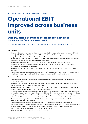# Sanoma's Interim Report 1 January–30 September 2017:

# **Operational EBIT improved across business units**

# **Strong Q3 sales in Learning and continued cost innovations throughout the Group improved result**

Sanoma Corporation, Stock Exchange Release, 25 October 2017 at 8:30 CET+1

#### **Third quarter**

- Net sales adjusted for changes in the Group structure grew by 5.4%. Reported net sales amounted to EUR 405 million (2016: 438). The Dutch TV operations of SBS are not included in the third quarter figures as Sanoma completed the divestment of SBS to Talpa on 19 July 2017.
- Operational EBIT improved to EUR 89.3 million (2016: 77.7; adjusted for the SBS divestment 70.2) as a result of higher sales in Learning and lower costs across all businesses.
- Operating profit improved to EUR 86.3 million (2016: 75.1; adjusted for the SBS divestment 68.6).
- Items affecting comparability included in the operating profit totalled EUR -3.0 million (2016: -2.6) and consisted mainly of restructuring expenses.
- Operational earnings per share increased to EUR 0.39 (2016: 0.30), earnings per share increased to EUR 0.37 (2016: 0.29).
- Cash flow from operations was EUR 85.6 million (2016: 95.9). The cash flow was lower than in the comparable period mainly due to higher trade receivables in Learning. Capex was EUR 9.2 million (2016: 7.3).

#### **First nine months**

- Adjusted for changes in the Group structure, net sales were stable. Reported net sales amounted to EUR 1,190 million (2016: 1,241).
- Operational EBIT improved to EUR 182.4 million (2016: 166.5). Adjusted for the SBS divestment, comparable operational EBIT grew 19.1% to EUR 184.8 million (2016: 155.1).
- Operating profit decreased to EUR -252.0 million (2016: 219.8), due to the capital loss related to the divestment of SBS, which has been booked as an item affecting comparability.
- Items affecting comparability included in the operating profit amounted to EUR -434.4 million (2016: 53.3) and consisted of a capital loss related to the divestment of SBS, impairments and restructuring expenses as well as a capital gain on the divestment of Sanoma Baltics. Items affecting comparability in the same period last year included an EUR 74.6 million adjustment for the settlement of the pension plans in the Netherlands.
- Operational earnings per share were EUR 0.73 (2016: 0.58). Earnings per share were EUR -1.07 (2016: 0.85) due to capital loss related to SBS divestment.
- Cash flow from operations was EUR 48.2 million (2016: 52.1) and capex was EUR 28.0 million (2016: 22.6).
- As a result of the SBS divestment, Sanoma was able to continue deleveraging its balance sheet. Interest-bearing liabilities were significantly lower, totalling EUR 555.4 million (2016: 799.8) at the end of September.
- Net debt/adj. EBITDA ratio was 2.2 (2016: 3.3) at the end of September.
- Equity ratio was 34.2% (2016: 43.7%) at the end of September.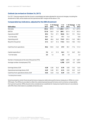#### **Outlook (as revised on October 24, 2017)**

For 2017, Sanoma expects that the Group's consolidated net sales adjusted for structural changes, including the divestment of SBS, will be stable and the operational EBIT margin will be above 12%.

#### **Comparable key indicators, adjusted for the SBS divestment**

| <b>EUR million</b>                                 | $7 - 9/$<br>2017 | 2016  | 7-9/Change<br>% | $1 - 9/$<br>2017 | 2016    | 1-9/Change<br>% | $1 - 12/$<br>2016 |
|----------------------------------------------------|------------------|-------|-----------------|------------------|---------|-----------------|-------------------|
| Net sales                                          | 404.6            | 387.8 |                 | 4.3 1,083.1      | 1,079.1 |                 | 0.4 1,407.0       |
| <b>EBITDA</b>                                      | 121.8            | 106.9 | 13.9            | 289.1            | 327.4   | $-11.7$         | 353.3             |
| <b>Operational EBIT</b>                            | 89.3             | 70.2  | 27.1            | 184.8            | 155.1   | 19.1            | 152.6             |
| % of net sales                                     | 22.1             | 18.1  |                 | 17.1             | 14.4    |                 | 10.8              |
| Operating profit                                   | 86.5             | 68.6  | 26.0            | 174.9            | 209.4   | $-16.5$         | 188.3             |
| Result for the period                              | 61.4             | 46.7  | 31.6            | 115.2            | 140.4   | $-18.0$         | 110.2             |
| Cash flow from operations                          | 85.6             | 102.5 | $-16.5$         | 47.9             | 58.1    | $-17.6$         | 141.2             |
| Capital expenditure *                              | 9.2              | 6.1   | 51.5            | 26.2             | 19.1    | 36.9            | 30.4              |
| % of net sales                                     | 2.3              | 1.6   |                 | 2.4              | 1.8     |                 | 2.2               |
| Number of employees at the end of the period (FTE) |                  |       |                 | 4,655            | 4,894   | $-4.9$          | 4,847             |
| Average number of employees (FTE)                  |                  |       |                 | 4.780            | 5,059   | $-5.5$          | 5,006             |
| Earnings/share, EUR                                | 0.38             | 0.28  | 36.3            | 0.70             | 0.83    | $-15.5$         | 0.63              |
| Operational earnings/share, EUR                    | 0.39             | 0.28  | 39.1            | 0.74             | 0.55    | 33.9            | 0.47              |
| Cash flow from operations/share, EUR               | 0.53             | 0.63  | $-16.6$         | 0.29             | 0.36    | $-17.7$         | 0.87              |

\* Including finance leases.

Sanoma presents certain financial performance measures (alternative performance measures or APMs) on a non-IFRS basis. The APMs are provided to reflect the underlying business performance and to enhance comparability from period to period. APMs should not be considered as a substitute for measures of performance in accordance with IFRS. More information is available at Sanoma.com.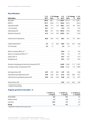# **Key indicators**

| <b>EUR million</b>                                 | $7 - 9/$<br>2017 | 2016  | 7-9/Change<br>% | $1 - 9/$<br>2017       | 2016  | 1-9/Change<br>% | $1 - 12/$<br>2016 |
|----------------------------------------------------|------------------|-------|-----------------|------------------------|-------|-----------------|-------------------|
| Net sales                                          | 404.6            | 438.1 |                 | $-7.6$ 1,189.9 1,241.0 |       |                 | $-4.1$ 1,639.1    |
| <b>EBITDA</b>                                      | 121.7            | 136.8 | $-11.1$         | $-104.6$               | 427.3 |                 | 496.3             |
| <b>Operational EBIT</b>                            | 89.3             | 77.7  | 14.9            | 182.4                  | 166.5 | 9.6             | 167.9             |
| % of net sales                                     | 22.1             | 17.7  |                 | 15.3                   | 13.4  |                 | 10.2              |
| Operating profit                                   | 86.3             | 75.1  | 15.0            | $-252.0$               | 219.8 |                 | 196.6             |
| Result for the period                              | 61.3             | 51.3  | 19.5            | $-310.9$               | 148.1 |                 | 116.0             |
| Cash flow from operations                          | 85.6             | 95.9  | $-10.7$         | 48.2                   | 52.1  | $-7.5$          | 158.1             |
| Capital expenditure *                              | 9.2              | 7.3   | 25.8            | 28.0                   | 22.6  | 23.7            | 34.8              |
| % of net sales                                     | 2.3              | 1.7   |                 | 2.4                    | 1.8   |                 | 2.1               |
| Return on equity (ROE), % **                       |                  |       |                 | $-45.0$                | 1.6   |                 | 10.9              |
| Return on investment (ROI), % **                   |                  |       |                 | $-17.6$                | 4.6   |                 | 9.9               |
| Equity ratio, %                                    |                  |       |                 | 34.2                   | 43.7  |                 | 41.0              |
| Net gearing, %                                     |                  |       |                 | 95.3                   | 67.9  |                 | 78.4              |
| Number of employees at the end of the period (FTE) |                  |       |                 | 4,655                  | 5,269 | $-11.7$         | 5,227             |
| Average number of employees (FTE)                  |                  |       |                 | 5,026                  | 5,437 | $-7.6$          | 5,384             |
| Earnings/share, EUR                                | 0.37             | 0.29  | 28.5            | $-1.07$                | 0.85  |                 | 0.65              |
| Operational earnings/share, EUR                    | 0.39             | 0.30  | 29.7            | 0.73                   | 0.58  | 25.8            | 0.51              |
| Cash flow from operations/share, EUR               | 0.53             | 0.59  | $-10.8$         | 0.30                   | 0.32  | $-7.6$          | 0.97              |
| Equity/share, EUR                                  |                  |       |                 | 3.33                   | 5.16  | $-35.6$         | 4.39              |

\* Including finance leases.

\*\* Rolling 12-month period.

# **Organic growth of net sales\*, %**

|               | $7 - 9/2017$ vs.<br>$7 - 9/2016$ | $1 - 9/2017$ vs.<br>$1 - 9/2016$ | $1 - 12/2016$ vs.<br>$1 - 12/2015$ |
|---------------|----------------------------------|----------------------------------|------------------------------------|
| Media BeNe    | -4.6                             | $-3.4$                           | 0.5                                |
| Media Finland | $-1.2$                           | $-1.0$                           | 0.7                                |
| Learning      | 22.5                             | 9.7                              | $-2.5$                             |
| Group         | 5.4                              | 0.3                              | 0.1                                |

\* Adjusted for changes in the Group structure.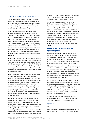#### **Susan Duinhoven, President and CEO:**

"Sanoma's results improved strongly in the third quarter, driven by successful sales in the seasonally important quarter for Learning and cost innovations in all of our businesses. Our net sales adjusted for changes in the Group structure grew by 5.4% and our operational EBIT improved by 27.1%.

For the first nine months our operational EBIT improved by 19.1% and sales were stable, when adjusted for the divestment of SBS. Our operational earnings per share improved by 25.8%, mostly due to lower financial costs resulting from significantly lower debt levels. Based on our good performance, we revised our FY 2017 guidance on October 24 and expect the operational EBIT margin to be above 12%.

We continue to focus on cash generation. In the third quarter, our cash flow from operations was EUR 85.6 million (2016: 95.9), slightly lower than in the prior year due to sales-driven growth of trade receivables in Learning.

Media BeNe's comparable operational EBIT, adjusted for SBS, continued to improve in the third quarter and was 9.0% higher compared to the previous year. The SBS divestment was completed in July. Profitability of our remaining print and online portfolio improved following our cost innovations and streamlining of the organisation. Sanoma's brands continued their good performance in BeNe.

In the third quarter, net sales in Media Finland were stable, while operational EBIT grew by 38.3%, supported by cost innovations. Nelonen TV channels continued to hold their market-leading positions, and our Ruutu VOD service grew its reach, strengthening our non-print sales. Helsingin Sanomat showed an increase in both the total number of subscriptions and the share of digital subscriptions, reaching new heights during the third quarter. Our ability to keep sales stable in Finland in a challenging advertising market shows the strength of our portfolio and good work of our teams.

In Learning, net sales grew strongly by 22.5%, and operational EBIT increased by 23.8% in the third quarter. Momentum in the Polish market has been exceptionally positive in 2017 with two simultaneous curriculum changes impacting the market volume positively. The efforts and costs we have put into developing and marketing 46 new methods as part of the educational reforms paid off, as our market share in the Polish learning market grew. Part of our growth

came from third party products as we operate in the the local market both as a publisher and as a distributor with our 'one-stop-shop' concept.

As a result of the divestment of SBS, we have significantly decreased our debt, and our balance sheet ratios have improved. At the end of September, our net debt to adjusted EBITDA ratio was 2.2, being at our long-term target level, below 2.5, and equity ratio at 34.2% was already close again to our target of 35-45%. This will allow us to pursue opportunities to enhance our portfolio of leading brands and businesses, and to serve our customers in the best ways: providing consumers with informative and entertaining content and advertisers with the combination of reach and targeting to grow their business."

#### **Impact of the SBS transaction on reported figures**

Sanoma announced the divestment of the Dutch TV operations of SBS on 10 April 2017. Following the announcement, all assets and liabilities relating to SBS were classified as held for sale in accordance with IFRS5. This resulted in a non-cash capital loss for Sanoma, affecting mainly the first quarter result.

SBS was consolidated in Sanoma's income statement until 30 June 2017. Therefore, SBS has been excluded only as of the third quarter when adjusting net sales for structural changes. In accordance with the requirements of IFRS5, the non-current asset held for sale was no longer depreciated/amortised after the announcement of the transaction.

The divestment was completed on 19 July 2017. To illustrate the effect of the divestment on the Group, some comparable adjusted key figures are presented in this report. Comparable adjusted figures fully exclude the divested operations of SBS but include 100% of Veronica Uitgeverij. All other figures in this interim report are based on reported figures and include SBS until the end of June.

In connection with the SBS divestment, Sanoma changed its segments for IFRS reporting and now reports three segments, identical to its SBUs.

#### **Net sales**

#### **Third quarter**

In July–September, Sanoma's net sales amounted to EUR 404.6 million (2016: 438.1; adjusted for the SBS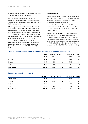divestment 387.8). Adjusted for changes in the Group structure, net sales increased by 5.4%.

Non-print media sales, adjusted for the SBS divestment, decreased by 2.6% to EUR 82.8 million (2016: 84.9) and represented 20.5% (2016: 21.9%) of the Group's net sales.

Advertising sales, adjusted for the SBS divestment, decreased by 7.9% to EUR 76.8 million (2016: 83.4), print advertising being at lower levels. Circulation sales decreased by 3.4% to EUR 132.5 million (2016: 137.0), mostly due to lower single copy sales, both in the Netherlands and Finland. Net sales from learning increased by 22.5% to EUR 152.7 million (2016: 124.7), mainly driven by this year's uniquely favourable market development in Poland and the partial catch up of the soft Q2 in the Netherlands. Other sales were stable at EUR 42.7 million (2016: 42.7).

#### **First nine months**

In January–September, Sanoma's reported net sales were EUR 1,189.9 million (2016: 1,241.0). Adjusted for changes in the Group structure and for the SBS divestment, net sales were stable.

Non-print media sales, adjusted for the SBS divestment, were stable at EUR 277.5 million (2016: 273.7) and represented 25.6% (2016: 25.4%) of the Group's net sales.

Advertising sales, adjusted for the SBS divestment, decreased by 5.7% to EUR 262.8 million (2016: 278.6). Circulation sales decreased by 3.1% to EUR 397.9 million (2016: 410.8), largely due to decrease in single copy sales. Net sales from Learning increased by 11.8% to EUR 284.7 million (2016: 254.6). Other sales were stable at EUR 137.7 million (2016: 135.1).

#### **Group's comparable net sales by country, adjusted for the SBS divestment, %**

|                    | $7 - 9/2017$ | $7 - 9/2016$ | $1 - 9/2017$ | $1 - 9/2016$ | 1-12/2016 |
|--------------------|--------------|--------------|--------------|--------------|-----------|
| <b>Netherlands</b> | 31.3         | 33.4         | 35.9         | 37.5         | 37.7      |
| Finland            | 35.0         | 37.9         | 42.9         | 43.3         | 44.4      |
| Belgium            | 11.6         | 12.9         | 11.2         | 11.2         | 10.9      |
| Other              | 22.1         | 15.8         | 10.0         | 8.0          | 7.0       |
| <b>Total Group</b> | 100.0        | 100.0        | 100.0        | 100.0        | 100.0     |

#### **Group's net sales by country, %**

|                    | $7 - 9/2017$ | $7 - 9/2016$ | $1 - 9/2017$ |       | $1 - 9/2016$ $1 - 12/2016$ |
|--------------------|--------------|--------------|--------------|-------|----------------------------|
| <b>Netherlands</b> | 31.3         | 41.0         | 41.6         | 45.7  | 46.5                       |
| Finland            | 35.0         | 33.6         | 39.1         | 37.7  | 38.1                       |
| Belgium            | 11.6         | 11.4         | 10.2         | 9.7   | 9.3                        |
| Other              | 22.1         | 14.0         | 9.1          | 6.9   | 6.1                        |
| <b>Total Group</b> | 100.0        | 100.0        | 100.0        | 100.0 | 100.0                      |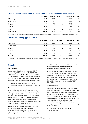|              | $7 - 9/2017$ | $7 - 9/2016$ | $1 - 9/2017$ | $1 - 9/2016$ | $1 - 12/2016$ |
|--------------|--------------|--------------|--------------|--------------|---------------|
| Advertising  | 19.0         | 21.5         | 24.3         | 25.8         | 27.4          |
| Subscription | 22.8         | 24.1         | 26.0         | 26.3         | 27.0          |
| Single copy  | 9.9          | 11.3         | 10.7         | 11.8         | 11.9          |
| Learning     | 37.7         | 32.1         | 26.3         | 23.6         | 20.1          |
| Other        | 10.6         | 11.0         | 12.7         | 12.5         | 13.7          |
| Total Group  | 100.0        | 100.0        | 100.0        | 100.0        | 100.0         |

#### **Group's comparable net sales by type of sales, adjusted for the SBS divestment, %**

Other sales mainly include press distribution and marketing services, custom publishing, event marketing, books and printing services.

#### **Group's net sales by type of sales, %**

|                    | $7 - 9/2017$ | $7 - 9/2016$ | $1 - 9/2017$ | $1 - 9/2016$ | $1 - 12/2016$ |
|--------------------|--------------|--------------|--------------|--------------|---------------|
| Advertising        | 19.0         | 28.6         | 29.6         | 33.5         | 35.7          |
| Subscription       | 22.8         | 21.3         | 23.7         | 22.9         | 23.1          |
| Single copy        | 9.9          | 10.0         | 9.7          | 10.2         | 10.2          |
| Learning           | 37.7         | 28.5         | 23.9         | 20.5         | 17.2          |
| Other              | 10.6         | 11.6         | 13.0         | 12.8         | 13.8          |
| <b>Total Group</b> | 100.0        | 100.0        | 100.0        | 100.0        | 100.0         |

Other sales mainly include press distribution and marketing services, custom publishing, event marketing, books and printing services.

# **Result**

#### **Third quarter**

In July–September, Sanoma's operational EBIT increased by 14.9% and totalled EUR 89.3 million (2016: 77.7, adjusted for the SBS divestment 70.2). The result improved in all SBUs mainly due to strong sales in Learning in the seasonally important third quarter and cost innovations throughout the Group.

The operational EBIT margin was 22.1% (2016: 17.7%, adjusted for the SBS divestment 18.1%) of net sales.

In the third quarter, the Group's total operating expenses, excluding items affecting comparability and adjusted for the SBS divestment, were at the previous year's level in terms of value. Cost of sales increased by 4.4% and fixed costs decreased by 3.6%. Paper costs were stable, transport and distribution service decreased by 5.7% and employee benefit expenses increased by 2.0%.

In July–September, operating profit included EUR -3.0 million (2016: -2.6) net of items affecting comparability, which consisted of restructuring expenses as well as a gain from the settlement of the Finnish defined pension plans. In the comparable

period, items affecting comparability comprised restructuring expenses and a gain from the settlement of the Dutch pension plans.

Sanoma's net financial items decreased to EUR -4.6 million (2016: -6.1) as a result of lower debt. The result before taxes amounted to EUR 82.0 million (2016: 68.6) in the third quarter. Operational earnings per share increased by 29.7% to EUR 0.39 (2016: 0.30). Earnings per share were EUR 0.37 (2016: 0.29).

#### **First nine months**

In January–September, Sanoma's operational EBIT increased by 9.6% to EUR 182.4 million (2016: 166.5). The result improved due to cost innovations in all SBUs, one-off corrections of EUR 4.4 million in the first quarter related to changes in accounting estimates, and sales growth in Learning. The improvement was partly offset by higher amortisations and depreciations related to earlier investments in Learning, and costs related to creating new learning methods in Poland.

The operational EBIT margin was 15.3% (2016: 13.4%) of net sales.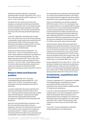Adjusted for the SBS divestment, comparable operational EBIT was EUR 184.8 million (2016: 155.1). The comparable operational EBIT margin was 17.1% (2016: 14.4%) of net sales.

During the first nine months, the Group's total expenses, excluding items affecting comparability and SBS, decreased by 2.8%. Cost of sales increased by 0.5% and fixed costs decreased by 5.2%. Paper costs decreased by 2.3%, transport and distribution service by 6.5% and employee benefit expenses by 3.3%.

In January–September, operating profit included EUR -434.4 million (2016: 53.3) net of items affecting comparability, mainly related to the capital loss from the divestment of SBS. In the previous year, items affecting comparability included an EUR 74.6 million adjustment for a settlement of defined benefit pension plans in the Netherlands.

Sanoma's net financial items totalled EUR -15.6 million (2016: -23.8). The improvement is due to lower interest expenses resulting from the significant decrease of interest-bearing liabilities. The result before taxes amounted to EUR -266.4 million (2016: 195.6) in the first nine months. Earnings per share were EUR -1.07 (2016: 0.85). The decrease is related to the items affecting comparability, especially the capital loss related to the divestment of SBS. Operational earnings per share were EUR 0.73 (2016: 0.58).

# **Balance sheet and financial position**

At the end of September 2017, Sanoma's consolidated balance sheet totalled EUR 1,729.7 million (2016: 2,728.0). The decrease is mainly attributable to the deconsolidation of the SBS TV operations.

In January–September, the Group's cash flow from operations decreased to EUR 48.2 million (2016: 52.1). Working capital increased mainly due to higher sales in the third quarter. Taxes paid were higher, while financial costs paid decreased and the purchases of TV rights were lower following the SBS divestment.

Sanoma's current dividend policy is based on cash flow from operations, less capex. In January– September, cash flow from operations per share was EUR 0.30 (2016: 0.32). Cash flow from investments amounted to EUR 217.1 million. It was positively impacted by EUR 237.8 million due to operations sold, including SBS, Sanoma Baltics, and Kieskeurig.nl. In

the comparable period, operations sold totalled EUR 42.2 million and included Autotrader.nl, AAC Global, the remaining Russian magazine operations and the Head Office custom publishing operations in Finland.

At the end of September, the net debt to adjusted EBITDA ratio was 2.2 (2016: 3.3), reaching the longterm target of below 2.5. The adjusted EBITDA used in this ratio is the 12-month rolling operational EBITDA, in which acquired operations are included and divested operations excluded, and depreciation of both programming and prepublication rights have been raised above EBITDA on cash flow basis. The divestment of SBS had a positive effect on this ratio as the net cash consideration of the transaction, EUR 237 million, was used to reduce Sanoma's debt.

Sanoma's equity-related ratios were significantly affected by the capital loss booked in connection with the SBS divestment. As a result, Sanoma's equity ratio was 27.4% at the end of March 2017, when SBS was classified as an asset held for sale, but improved to 34.2% by the end of September 2017 (2016: 43.7%). Sanoma maintains its long-term target of 35%–45% equity ratio. The return on equity (ROE) was -45.0% and the return on investment (ROI) was -17.6%.

Equity totalled EUR 544.5 million (2016: 1,128.3). The decrease is related to the capital loss booked due to the SBS divestment. Equity per share was EUR 3.33 (2016: 5.16). Interest-bearing liabilities totalled EUR 555.4 million (2016: 799.8), and interest-bearing net debt amounted to EUR 518.7 million (2016: 766.4).

# **Investments, acquisitions and divestments**

In January–September 2017, investments in tangible and intangible assets, including finance leases, amounted to EUR 28.0 million (2016: 22.6). Investments were mainly related to digital business, ICT systems and maintenance.

In July 2017, Sanoma divested 67% of the Dutch TV business SBS for a net cash consideration of EUR 237 million and obtaining 100% ownership of the TV guide business Veronica Uitgeverij. As a result of the transaction Sanoma recognised a non-cash capital loss of EUR -308.1 million. The total impact of the transaction on the Group's net result is EUR -286.2 million.

In June 2017, Sanoma divested the comparison website Kieskeurig.nl in the Netherlands.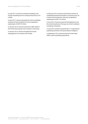In June 2017, Sanoma increased its holding in the Finnish marketing service company Routa from 51% to 80%.

In April 2017, Sanoma divested the online classifieds business of Sanoma Baltics AS and recognised a capital gain of EUR 9.9 million.

In January 2016, Sanoma acquired an 80% stake in the Finnish learning services company Tutorhouse.

In January 2016, Sanoma divested the Finnish language service company AAC Global.

In February 2016, Sanoma sold its Dutch online car classifieds business Autotrader.nl to AutoScout24. As a result of the transaction, Sanoma recognised a capital gain of EUR 13.3 million.

In June 2016, Sanoma acquired Kortingisleuk.nl and the remaining shares of Scoupy, two Dutch cashback marketing companies.

In June 2016, Sanoma acquired the K-12 educational publishing activities of Group De Boeck in Belgium.

In September 2016, Sanoma sold its Finnish Head Office custom publishing operations.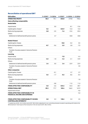# **Reconciliation of operational EBIT**

| <b>EUR million</b>                                                              | $7 - 9/2017$ | $7 - 9/2016$ | $1 - 9/2017$ |         | $1 - 9/2016$ $1 - 12/2016$ |
|---------------------------------------------------------------------------------|--------------|--------------|--------------|---------|----------------------------|
| <b>OPERATING PROFIT</b>                                                         | 86.3         | 75.1         | $-252.0$     | 219.8   | 196.6                      |
| <b>Items affecting comparability</b>                                            |              |              |              |         |                            |
| <b>Media BeNe</b>                                                               |              |              |              |         |                            |
| Impairments                                                                     |              | 0.0          |              | $-8.1$  | $-13.6$                    |
| Capital gains /losses *                                                         | 0.2          |              | $-424.9$     | 13.3    | 13.3                       |
| Restructuring expenses                                                          | $-2.8$       | $-2.5$       | $-7.6$       | $-15.5$ | $-25.5$                    |
| Others                                                                          |              |              |              |         |                            |
| Settlement of defined benefit pension plans                                     |              | 4.7          |              | 40.8    | 40.8                       |
| <b>Media Finland</b>                                                            |              |              |              |         |                            |
| Capital gains /losses                                                           |              |              | 10.8         | $-0.2$  | 0.5                        |
| Restructuring expenses                                                          | $-0.7$       | $-0.6$       | $-2.9$       | $-2.8$  | $-7.5$                     |
| Others                                                                          |              |              |              |         |                            |
| Transfer of surplus assets in Sanoma Pension<br>Fund                            |              |              |              |         | $-1.2$                     |
| <b>Learning</b>                                                                 |              |              |              |         |                            |
| Impairments                                                                     |              |              | $-7.8$       |         | $-4.4$                     |
| Restructuring expenses                                                          | $-2.3$       | $-1.8$       | $-4.2$       | $-2.1$  | $-10.9$                    |
| <b>Others</b>                                                                   |              |              |              |         |                            |
| Settlement of defined benefit pension plans                                     | 2.4          | 0.0          | 2.4          | 22.9    | 22.9                       |
| Transfer of surplus assets in Sanoma Pension<br>Fund                            |              |              |              |         | 3.0                        |
| <b>Other companies</b>                                                          |              |              |              |         |                            |
| Capital gains /losses                                                           |              | $-0.1$       |              | 2.7     | 2.7                        |
| Restructuring expenses                                                          | 0.3          | $-1.7$       | $-0.2$       | $-8.6$  | $-0.4$                     |
| Others                                                                          |              |              |              |         |                            |
| Transfer of surplus assets in Sanoma Pension<br>Fund                            |              |              |              |         | $-1.8$                     |
| Settlement of defined benefit pension plans                                     |              | $-0.8$       |              | 11.0    | 11.0                       |
| <b>ITEMS AFFECTING COMPARABILITY</b>                                            | $-3.0$       | $-2.6$       | $-434.4$     | 53.3    | 28.7                       |
| <b>OPERATIONAL EBIT</b>                                                         | 89.3         | 77.7         | 182.4        | 166.5   | 167.9                      |
| Impairment of loan                                                              |              |              |              |         | -4.6                       |
| <b>ITEMS AFFECTING COMPARABILITY IN</b><br><b>FINANCIAL INCOME AND EXPENSES</b> |              |              |              |         | -4.6                       |
| <b>ITEMS AFFECTING COMPARABILITY IN NON-</b><br><b>CONTROLLING INTERESTS*</b>   | 0.0          | 0.3          | 138.4        | 0.3     | 2.5                        |

\* A capital loss of EUR -424.2 million and a EUR 138.3 million adjustment in non-controlling interests included in operating profit relate to the SBS divestment. Total impact of the transaction in the net result is EUR -286.2 million.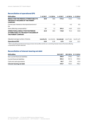| <b>EUR million</b>                                                                                             | $7 - 9/2017$ | $7 - 9/2016$ | $1 - 9/2017$ | $1 - 9/2016$ | $1 - 12/2016$ |
|----------------------------------------------------------------------------------------------------------------|--------------|--------------|--------------|--------------|---------------|
| <b>RESULT FOR THE PERIOD ATTRIBUTABLE TO</b><br>THE EQUITY HOLDERS OF THE PARENT<br><b>COMPANY</b>             | 60.8         | 48.8         | $-174.5$     | 142.5        | 110.8         |
| Current year interest on the hybrid bond net of<br>tax                                                         |              | $-1.5$       |              | $-4.3$       | $-5.5$        |
| Items affecting comparability *                                                                                | 2.1          | 1.2          | 293.3        | $-43.9$      | $-22.5$       |
| <b>OPERATIONAL RESULT FOR THE PERIOD</b><br><b>ATTRIBUTABLE TO THE EQUITY HOLDERS OF</b><br>THE PARENT COMPANY | 63.0         | 48.5         | 118.8        | 94.3         | 82.8          |
| Adjusted average number of shares                                                                              | 162.495.574  | 162.333.596  | 162.460.568  | 162.277.604  | 162.291.679   |
| <b>Operational EPS</b>                                                                                         | 0.39         | 0.30         | 0.73         | 0.58         | 0.51          |

\* When calculating operational earnings per share, the tax effect and the non-controlling interests' share of the items affecting comparability has been deducted.

# **Reconciliation of interest-bearing net debt**

| <b>EUR million</b>                | 30.9.2017 |         | 30.9.2016 31.12.2016 |
|-----------------------------------|-----------|---------|----------------------|
| Non-current financial liabilities | 200.0     | 278.2   | 239.1                |
| Current financial liabilities     | 355.4     | 521.6   | 590.5                |
| Cash and cash equivalents         | -36.7     | $-33.3$ | -43.4                |
| Interest-bearing net debt         | 518.7     | 766.4   | 786.2                |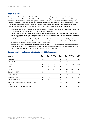# **Media BeNe**

Sanoma Media BeNe includes the Dutch and Belgian consumer media operations as well as the Dutch press distribution business Aldipress. In the Netherlands, we have a leading cross media portfolio with over 30 strong brands and strong market positions in magazines, events, custom media, e-commerce, websites and apps. In Belgium, Sanoma is a prominent multi-media company, with quality magazines and digital media focusing around Women and Home & Deco. Through combining content and customer data, we develop successful marketing solutions for our clients. In total, Sanoma Media BeNe reaches over 13 million consumers every month.

- Media BeNe's net sales adjusted for structural changes decreased by 4.6% during the third quarter, mainly due to advertising and single copy sales declining in line with the market.
- Despite the sales decline, the profitability of the print and online portfolio improved as a result of continuous cost innovations. Adjusted for the SBS divestment, Media BeNe's operational EBIT improved by 9.0% in the third quarter to EUR 15.6 million (2016: 14.3).
- For the first nine months, operational EBIT, adjusted for the SBS divestment, increased by 15.5%, but the reported operating profit shows a decrease since the result in the comparable period included a EUR 40.8 million settlement related to changes in the Dutch pension plans.
- The transaction to sell Sanoma's share, 67% of shares, of the SBS TV operations to Sanoma's long-term partner and co-shareholder Talpa and to acquire 100% of shares in the TV guide business Veronica was closed on 19 July 2017. SBS was included in Sanoma's reported figures until 30 June 2017.

| <b>EUR million</b>                                    | $7 - 9/$<br>2017 | 2016  | $7-9/$ Change<br>% | $1 - 9/$<br>2017 | 2016  | $1 - 9/$ Change<br>% | $1 - 12/$<br>2016 |
|-------------------------------------------------------|------------------|-------|--------------------|------------------|-------|----------------------|-------------------|
| Net sales                                             | 120.8            | 129.3 | -6.6               | 378.7            | 396.0 | -4.4                 | 543.8             |
| Non-print                                             | 27.5             | 31.5  | $-12.5$            | 94.3             | 96.8  | $-2.5$               | 144.1             |
| Print                                                 | 80.9             | 85.5  | $-5.4$             | 249.3            | 264.7 | $-5.8$               | 353.6             |
| Other                                                 | 12.4             | 12.3  | 0.7                | 35.1             | 34.6  | 1.3                  | 46.1              |
| <b>EBITDA</b>                                         | 15.0             | 20.7  | $-27.5$            | 54.0             | 98.0  | -44.9                | 118.9             |
| <b>Operational EBIT</b>                               | 15.6             | 14.3  | 9.0                | 54.8             | 47.4  | 15.5                 | 70.3              |
| % of net sales                                        | 12.9             | 11.1  |                    | 14.5             | 12.0  |                      | 12.9              |
| Operating profit                                      | 12.7             | 17.5  | $-27.2$            | 46.8             | 78.9  | $-40.7$              | 92.2              |
| Capital expenditure                                   | 0.2              | 0.0   |                    | 2.8              | 1.2   |                      | 1.4               |
| Number of employees at the end of the period<br>(FTE) |                  |       |                    | 1,298            | 1,400 |                      | 1,388             |
| Average number of employees (FTE)                     |                  |       |                    | 1,325            | 1,433 |                      | 1,421             |

#### **Comparable key indicators, adjusted for the SBS divestment**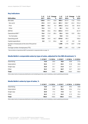### **Key indicators**

|                                                       | $7 - 9/$ | $7 - 9/$ Change<br>2017<br>2016 |         | $1 - 9/$ |       | $1 - 9/$ Change | 1–12/ |
|-------------------------------------------------------|----------|---------------------------------|---------|----------|-------|-----------------|-------|
| <b>EUR million</b>                                    |          |                                 |         | ℅        | 2017  | 2016            | ℅     |
| Net sales                                             | 120.8    | 179.7                           | $-32.8$ | 485.4    | 557.9 | $-13.0$         | 775.9 |
| Non-print                                             | 27.5     | 81.9                            | -66.4   | 201.1    | 258.7 | $-22.2$         | 376.3 |
| Print                                                 | 80.9     | 85.5                            | $-5.4$  | 249.2    | 264.6 | $-5.8$          | 353.5 |
| Other                                                 | 12.4     | 12.3                            | 1.1     | 35.1     | 34.6  | 1.5             | 46.1  |
| <b>EBITDA</b>                                         | 15.0     | 50.6                            | $-70.3$ | $-334.4$ | 197.9 |                 | 261.9 |
| Operational EBIT *                                    | 15.6     | 21.8                            | $-28.4$ | 52.4     | 58.8  | $-10.9$         | 85.6  |
| % of net sales                                        | 12.9     | 12.1                            |         | 10.8     | 10.5  |                 | 11.0  |
| Operating profit                                      | 12.8     | 24.0                            | -46.7   | $-374.8$ | 89.3  |                 | 100.6 |
| Capital expenditure                                   | 0.2      | 1.3                             | $-84.6$ | 4.6      | 4.7   | $-2.0$          | 5.8   |
| Number of employees at the end of the period<br>(FTE) |          |                                 |         | 1,298    | 1,775 | $-26.9$         | 1,768 |
| Average number of employees (FTE)                     |          |                                 |         | 1,571    | 1,811 | $-13.3$         | 1,799 |

\* Reconciliation of operational EBIT is presented in a separate table on page 10.

# **Media BeNe's comparable sales by type of sales, adjusted for the SBS divestment, %**

|              | $7 - 9/2017$ | $7 - 9/2016$ | $1 - 9/2017$ | $1 - 9/2016$ | 1-12/2016 |
|--------------|--------------|--------------|--------------|--------------|-----------|
| Advertising  | 16.8         | 20.0         | 18.8         | 20.8         | 21.6      |
| Subscription | 33.2         | 31.7         | 32.5         | 31.8         | 30.8      |
| Single copy  | 23.8         | 24.1         | 21.8         | 22.7         | 21.7      |
| Other        | 26.3         | 24.1         | 26.9         | 24.7         | 25.9      |
| <b>Total</b> | 100.0        | 100.0        | 100.0        | 100.0        | 100.0     |

Other sales mainly include press distribution and marketing services, event marketing, custom publishing and books.

#### **Media BeNe's sales by type of sales, %**

|              | $7 - 9/2017$ | $7 - 9/2016$ | $1 - 9/2017$ | $1 - 9/2016$ | 1-12/2016 |
|--------------|--------------|--------------|--------------|--------------|-----------|
| Advertising  | 16.8         | 37.9         | 33.1         | 39.5         | 40.8      |
| Subscription | 33.2         | 22.8         | 25.4         | 22.6         | 21.6      |
| Single copy  | 23.8         | 17.4         | 17.0         | 16.1         | 15.2      |
| Other        | 26.3         | 21.9         | 24.5         | 21.9         | 22.4      |
| <b>Total</b> | 100.0        | 100.0        | 100.0        | 100.0        | 100.0     |

Other sales mainly include press distribution and marketing services, event marketing, custom publishing and books.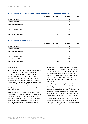# **Media BeNe's comparable sales growth adjusted for the SBS divestment, %**

|                                | 7-9/2017 vs. 7-9/2016 | $1 - 9/2017$ vs. $1 - 9/2016$ |
|--------------------------------|-----------------------|-------------------------------|
| Subscription sales             | $-2$                  | $-2$                          |
| Single copy sales              | -8                    | -8                            |
| <b>Total circulation sales</b> | -5                    | -5                            |
| Print advertising sales        | $-12$                 | $-11$                         |
| Non-print advertising sales    | $-27$                 | $-16$                         |
| <b>Total advertising sales</b> | $-22$                 | -14                           |

# **Media BeNe's sales growth, %**

|                                | 7-9/2017 vs. 7-9/2016 | $1 - 9/2017$ vs. $1 - 9/2016$ |
|--------------------------------|-----------------------|-------------------------------|
| Subscription sales             | $-2$                  | $-2$                          |
| Single copy sales              | -8                    | -8                            |
| <b>Total circulation sales</b> | -5                    | -5                            |
| Print advertising sales        | $-12$                 | -11                           |
| Non-print advertising sales    | -80                   | -30                           |
| <b>Total advertising sales</b> | $-70$                 | -27                           |

#### **Third quarter**

In July–September, net sales in Media BeNe were EUR 120.8 million (2016: 179.7; adjusted for the SBS divestment 129.3). Adjusted for structural changes, net sales decreased by 4.6%. Non-print sales amounted to EUR 27.5 million (2016: 81.9; adjusted for the SBS divestment 31.5) and represented 22.8% (2016: 45.6% adjusted for the SBS divestment 24.4%) of net sales. The main reason for the decrease in sales and lower share of non-print is the divestment of the SBS TV operations, excluded from the reported figures in the third quarter of 2017.

Advertising sales, adjusted for the SBS divestment, decreased by 22% due to divestment of Kieskeurig.nl and weaker print advertising, and represented 16.8% of net sales. Circulation sales decreased by 4.8% with mostly single copy sales being lower. Circulation sales represented 56.9% of net sales. Other sales were stable.

Operational EBIT in Media BeNe in July–September amounted to EUR 15.6 million (2016: 21.8; adjusted for the SBS divestment 14.3). The comparable result improved following the continuous streamlining of operations in the Dutch print and online portfolio. Reported operational EBIT was lower, as the comparable period included the divested SBS TV operations.

Items affecting comparability included in the operating profit totalled EUR -2.6 million (2016: 2.2) and consisted mainly of restructuring expenses related to streamlining of the Dutch operations. In the comparable period, items affecting comparability were related to the changes in the pension plans in the Netherlands as well as restructuring expenses.

Media BeNe's investments in tangible and intangible assets totalled EUR 0.2 million (2016: 1.3) in July– September and consisted mainly of ICT investments and maintenance capital expenditure.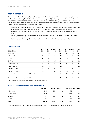# **Media Finland**

Sanoma Media Finland is the leading media company in Finland. We provide information, experiences, inspiration and entertainment through multiple media platforms: newspapers, TV, radio, magazines, online and mobile channels. We have leading brands and services, like Aku Ankka, Me Naiset, Helsingin Sanomat, Oikotie, Ilta-Sanomat, Nelonen, Radio Suomipop and Ruutu. Sanoma's brands reach almost all Finns every day. For advertisers, we are a trusted partner with insight, impact and reach.

- Media Finland's net sales were stable in the third quarter. Non-print advertising sales grew by 2.8%. Newspaper circulation and number of subscriptions in pay TV, in both linear and VOD, also developed positively.
- Operational EBIT improved by 38.3% in the third quarter due to continued cost innovations across business units.
- Nelonen Media's commercial viewing share remained strong in the third quarter, and the reach of the Ruutu VOD service grew quickly.
- The total number of Helsingin Sanomat subscriptions has increased for five consecutive months.

| <b>EUR million</b>                                          | $7 - 9/$<br>2017 | 2016  | $7-9/$ Change<br>% | $1 - 9/$<br>2017 | 2016  | $1 - 9/$ Change<br>% | $1 - 12/$<br>2016 |
|-------------------------------------------------------------|------------------|-------|--------------------|------------------|-------|----------------------|-------------------|
| Net sales                                                   | 131.2            | 133.8 | $-2.0$             | 420.0            | 428.5 | $-2.0$               | 580.9             |
| Non-print                                                   | 55.2             | 53.4  | 3.3                | 183.2            | 176.9 | 3.6                  | 242.0             |
| Print                                                       | 76.0             | 80.4  | $-5.5$             | 236.8            | 251.6 | $-5.9$               | 338.9             |
| <b>EBITDA</b>                                               | 34.6             | 32.8  | 5.7                | 128.3            | 104.4 | 22.8                 | 135.2             |
| Operational EBIT *                                          | 14.1             | 10.2  | 38.3               | 55.7             | 40.3  | 38.3                 | 49.5              |
| % of net sales                                              | 10.8             | 7.6   |                    | 13.3             | 9.4   |                      | 8.5               |
| Operating profit                                            | 13.4             | 9.6   | 38.8               | 63.6             | 37.2  | 70.7                 | 41.3              |
| Capital expenditure                                         | 2.0              | 1.0   | 98.4               | 5.7              | 3.8   | 49.0                 | 5.2               |
| Number of employees at the end of the period<br>$($ FTE $)$ |                  |       |                    | 1,691            | 1,749 | $-3.3$               | 1,718             |
| Average number of employees (FTE)                           |                  |       |                    | 1,755            | 1,823 | $-3.7$               | 1,797             |

# **Key indicators**

\* Reconciliation of operational EBIT is presented in a separate table on page 10.

#### **Media Finland's net sales by type of sales, %**

|              | $7 - 9/2017$ | 7-9/2016 | $1 - 9/2017$ |       | $1 - 9/2016$ $1 - 12/2016$ |
|--------------|--------------|----------|--------------|-------|----------------------------|
| Advertising  | 43.1         | 42.9     | 45.7         | 45.8  | 46.1                       |
| Subscription | 39.8         | 39.1     | 37.8         | 36.8  | 36.5                       |
| Single copy  | 8.7          | 9.3      | 8.0          | 8.7   | 8.4                        |
| Other        | 8.4          | 8.7      | 8.5          | 8.7   | 9.0                        |
| <b>Total</b> | 100.0        | 100.0    | 100.0        | 100.0 | 100.0                      |

Other sales mainly include marketing services, event marketing, custom publishing, books and printing.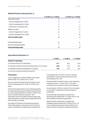|                                  | 7-9/2017 vs. 7-9/2016 | $1 - 9/2017$ vs. $1 - 9/2016$ |
|----------------------------------|-----------------------|-------------------------------|
| Subscription sales               | 0                     |                               |
| of which magazines incl. online  | $-9$                  | $-5$                          |
| of which newspapers incl. online | 5                     | 2                             |
| of which Pay-TV and Pay-VOD      | 10                    | 15                            |
| Single copy sales                | $-9$                  | $-11$                         |
| of which magazines incl. online  | $-10$                 | $-5$                          |
| of which newspapers incl. online | $-7$                  | $-10$                         |
| <b>Total circulation sales</b>   | $-2$                  | $-2$                          |
| Print advertising sales          | $-10$                 | $-12$                         |
| Non-print advertising sales      | 3                     | 3                             |
| <b>Total advertising sales</b>   | $-2$                  | $-2$                          |

# **Operational indicators, %**

|                                                              | 1-9/2017 | $1 - 9/2016$ | $1 - 12/2016$ |
|--------------------------------------------------------------|----------|--------------|---------------|
| <b>Finnish TV operations</b>                                 |          |              |               |
| TV channels' share of TV advertising                         | 37.1     | 35.3         | 35.3          |
| TV channels' national commercial viewing share (10-44 years) | 36.8     | 37.3         | 36.9          |
| TV channels' national viewing share (10+ years)              | 16.6     | 15.7         | 16.6          |

Source: Kantar TNS, Media advertising trends 8/2017

#### **Third quarter**

In July–September, net sales in Media Finland were stable at EUR 131.2 million (2016: 133.8).

Non-print sales increased to EUR 55.2 million (2016: 53.4) and represented 42.1% (2016: 39.9%) of net sales.

Following the development of print advertising sales, the total advertising sales for Media Finland declined by 1.6% and represented 43.1% (2016: 42.9%) of net sales. Circulation sales decreased by 1.8%. Subscription sales were stable, whereas single copy sales decreased. Circulation sales represented 48.5% (2016: 48.4%) of net sales.

According to TNS Gallup, the advertising market in Finland decreased on a net basis by 2% in the third quarter. Advertising in magazines decreased by 9%, in newspapers by 12% and in TV by 4%, whereas advertising on radio increased by 8% and online excluding search by 10%.

Operational EBIT in Media Finland in July–September increased to EUR 14.1 million (2016: 10.2) due to continued cost innovations in many cost categories.

An amortisation of EUR 6.4 million (2016: 6.0) related to ice hockey TV rights had an adverse impact in profitability.

Items affecting comparability included in the operating profit totalled EUR -0.7 million (2016: -0.6) and consisted of restructuring expenses.

Media Finland's investments in tangible and intangible assets totalled EUR 2.0 million (2016: 1.0) in July–September and were mainly related to real estate and other maintenance capital expenditure.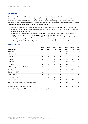# **Learning**

Sanoma Learning is one of Europe's leading learning companies, serving some 10 million students and one million teachers. Through our multi-channel learning solutions we help to engage students in achieving good learning outcomes, and support the effective work of the professional teacher in primary, secondary and vocational education. Through our local companies, we contribute to some of the world's best-performing education systems including Finland, the Netherlands, Belgium, Poland and Sweden.

- Net sales in Learning increased by 22.5% in the third quarter. The increase was, in particular, driven by the significantly higher sales in Poland, where the market momentum in 2017 is exceptionally positive due to two simultaneous curriculum reforms.
- Operational EBIT increased by 23.8% in the third quarter. In particular, the costs incurred earlier in 2017 in Poland, where 46 new methods were developed and marketed this year, paid off.
- For the first nine months, Learning's operational EBIT was at the previous year's level with positive earnings impact of well managed cost innovations and net sales growth offsetting the costs of the new Polish methods and the negative impact of higher depreciation and amortisation related to earlier investments.

|                                                       | $7 - 9/$ |       | 7-9/ Change | $1 - 9/$ | 1-9/ Change |         | $1 - 12/$ |
|-------------------------------------------------------|----------|-------|-------------|----------|-------------|---------|-----------|
| <b>EUR million</b>                                    | 2017     | 2016  | %           | 2017     | 2016        | %       | 2016      |
| Net sales                                             | 152.7    | 124.7 | 22.5        | 284.7    | 254.6       | 11.8    | 282.6     |
| Netherlands                                           | 28.2     | 25.8  | 9.3         | 84.1     | 87.9        | $-4.3$  | 94.4      |
| Poland                                                | 79.8     | 50.1  | 59.1        | 89.7     | 62.8        | 42.7    | 70.8      |
| Finland                                               | 10.6     | 14.5  | $-26.7$     | 46.1     | 42.6        | 8.2     | 48.1      |
| Belgium                                               | 24.0     | 24.1  | $-0.2$      | 46.2     | 40.8        | 13.2    | 44.8      |
| Sweden                                                | 10.2     | 10.2  | $-0.5$      | 18.9     | 20.8        | $-9.1$  | 25.1      |
| Other companies and eliminations                      | $-0.1$   | 0.0   |             | $-0.3$   | $-0.4$      |         | $-0.6$    |
| <b>EBITDA</b>                                         | 72.6     | 59.4  | 22.2        | 109.9    | 129.7       | $-15.3$ | 107.3     |
| Operational EBIT*                                     | 62.5     | 50.5  | 23.8        | 81.5     | 80.6        | 1.1     | 56.8      |
| % of net sales                                        | 40.9     | 40.5  |             | 28.6     | 31.7        |         | 20.1      |
| Operating profit                                      | 62.6     | 48.8  | 28.3        | 72.0     | 101.4       | $-29.0$ | 67.4      |
| Capital expenditure                                   | 4.1      | 3.7   | 12.8        | 12.8     | 10.7        | 19.2    | 17.7      |
| Number of employees at the end of the period<br>(FTE) |          |       |             | 1,379    | 1,426       | $-3.3$  | 1439      |
| Average number of employees (FTE)                     |          |       |             | 1,413    | 1,406       | 0.5     | 1413      |

# **Key indicators**

\* Reconciliation of operational EBIT is presented in a separate table on page 10.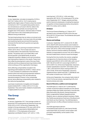#### **Third quarter**

In July–September, net sales increased by 22.5% to EUR 152.7 million (2016: 124.7) mainly due to significantly higher sales in Poland, where the market momentum in 2017 is exceptionally positive due to two simultaneous curriculum reforms. Sales in the Netherlands were partially recovering from the sluggish start of the season, whereas sales in Finland were lower than in the comparable period due to different timing of deliveries.

The learning business has, by nature, an annual cycle and strong seasonality. It accrues most of its net sales and results during the second and third quarters, whereas the first and fourth quarters are typically loss-making.

Operational EBIT in Learning increased to EUR 62.5 million (2016: 50.5). The increase was due to successful sales in the seasonally important third quarter. The partial catch-up of sales after a soft second quarter in the Netherlands, as well as integration benefits in Belgium and cost innovations also had positive impacts on the results. These more than offset the development costs of the new Polish methods and the professional learning initiative SAM, where scaling up of the organisation has begun.

Items affecting comparability included in the operating profit totalled net of EUR 0.1 million (2016: - 1.7) and consisted of a settlement of the defined pension plans and restructuring expenses related to current downscaling of YDP, the international operations based in Poland. In the comparable period, items affecting comparability were related to the restructuring expenses.

Learning's investments in tangible and intangible assets totalled EUR 4.1 million (2016: 3.7) in July– September. They were mainly related to investments in digital platforms and ICT.

# **The Group**

#### **Personnel**

In January–September 2017, the average number of personnel (FTE) employed by the Sanoma Group was 5,026 (2016: 5,437). At the end of September, the number of Group employees (FTE) was 4,655 (2016: 5,269). In full-time equivalents, Media BeNe had 1,298 (2016: 1,775) employees at the end of September and Media Finland 1,691 (2016: 1,749).

Learning had 1,379 (2016: 1,426) and other operations 287 (2016: 319) employees (FTE) at the end of September 2017. Wages, salaries and fees paid to Sanoma's employees, including the expense recognition of share based payments, amounted to EUR 219.4 million (2016: 238.9).

#### **Dividend**

The Annual General Meeting on 21 March 2017 decided to pay a dividend of EUR 0.20 for the year 2016 (2015: 0.10) per share. The dividends were paid on 30 March 2017.

#### **Shares and holdings**

In January–September 2017, a total of 25,181,884 (2016: 38,079,459) Sanoma shares were traded on the Nasdaq Helsinki, and traded shares accounted for some 16% (2016: 23%) of the average number of shares. Sanoma's shares traded on the Nasdaq Helsinki corresponded to around 74% (2016: 80%) of the total traded share volume on stock exchanges.

During the first nine months, the volume-weighted average price of a Sanoma share on the Nasdaq Helsinki was EUR 8.22 (2016: EUR 5.58), with a low of EUR 7.58 (2016: EUR 3.51) and a high of EUR 9.41 (2016: EUR 9.15). At the end of September, Sanoma's market capitalisation was EUR 1,503 million (2016: 1,381), with Sanoma's share closing at EUR 9.23 (2016: 8.48). At the end of September, Sanoma's registered share capital was EUR 71,258,986.82 and the number of shares was 162,812,093.

At the end of September, the company held a total of 316,519 of its own shares, representing 0.2% of all Sanoma shares and votes.

#### **Board of Directors, auditors and management**

The AGM held on 21 March 2017 confirmed the number of Sanoma's Board members as nine. Board members Pekka Ala-Pietilä, Antti Herlin, Anne Brunila, Mika Ihamuotila, Nils Ittonen, Denise Koopmans, Robin Langenskiöld, Rafaela Seppälä and Kai Öistämö, were re-elected as Board members. Pekka Ala-Pietilä was elected as Chairman of the Board and Antti Herlin as Vice Chairman. The AGM decided to amend the term of office of Board members to be one year.

The AGM appointed audit firm PricewaterhouseCoopers Oy, with Samuli Perälä, Authorised Public Accountant, as the auditor with principal responsibility, as the auditor of the Company.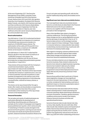At the end of September 2017, the Executive Management Group (EMG) comprises: Susan Duinhoven (President and CEO of the Sanoma Group), Markus Holm (CFO and COO), Kim Ignatius (Executive Vice President), Pia Kalsta (CEO Sanoma Media Finland), John Martin (CEO Sanoma Learning) and Peter de Mönnink (CEO Sanoma Media BeNe). Sanoma announced in September that Peter de Mönnink will transition to Talpa by year-end. Fulfilment of the CEO role for Sanoma Media BeNe will be communicated in due course.

#### **Board authorisations**

The AGM held on 12 April 2016 authorised the Board of Directors to decide on an issuance of a maximum of 50,000,000 new shares and a transfer of a maximum of 5,000,000 treasury shares. The authorisation will be valid until 30 June 2019. In a directed share issue, a maximum of 41,000,000 shares can be issued or transferred.

The AGM held on 21 March 2017 authorised the Board to decide on the repurchase of maximum of 16,000,000 Company's own shares. The authorisation is effective until 30 June 2018 and terminates the corresponding authorisation granted by the AGM on 12 April 2016.

These shares will be purchased with the Company's unrestricted shareholders' equity, and the repurchases will reduce funds available for distribution on profits. The shares will be repurchased to develop the Company's capital structure, carry out or finance potential corporate acquisitions or other business arrangements, to be used as a part of the Company's incentive programme or to be otherwise conveyed further, retained as treasury shares, or cancelled.

The shares can be repurchased either through a tender offer made to all shareholders on equal terms or in other proportion than that of the current shareholders at the market price of the repurchase moment on the Nasdaq Helsinki.

#### **Seasonal fluctuation**

The net sales and results of media businesses are particularly affected by the development of advertising. Advertising sales are influenced, for example, by the number of newspaper and magazine issues published each quarter, which varies annually. TV advertising in Finland is usually strongest in the second and fourth quarters. Learning accrues most of its net sales and results during the second and third quarters. Seasonal business fluctuations influence the Group's net sales and operating profit, with the first quarter traditionally being clearly the smallest one for both.

#### **Significant near term risks and uncertainty factors**

The most significant risks and uncertainty factors Sanoma currently faces are described in the Financial Statements and on the Group's website at Sanoma.com, together with the Group's main principles of risk management.

Many of the identified risks relate to changes in customer preferences. The driving forces behind these changes are the on-going digitisation process and the decrease of viewing time in free-to-air TV. Sanoma takes actions in all its strategic business units to respond to these challenges. These changes in consumer behaviour create potential risks related to advertising volumes and pricing, in particular with the trend of increasing mobile usage.

With regard to changing customer preferences and digitisation, new entrants might be able to better utilise these changes and therefore gain market share from Sanoma's established businesses.

Privacy and data protection are an integral part of Sanoma's business. Risks related to data security become more relevant as digital business is growing. Sanoma has invested in data security related technologies and runs a Group-wide privacy programme to ensure that employees know how to apply data security and privacy practices in their daily work.

Sanoma faces political risks in particular in Poland, where legislative changes can have significant impacts on the learning business. EU level changes currently considered for telemarketing could have a significant impact on Sanoma's subscription sales in Finland and in the Netherlands.

Normal business risks associated with the industry relate to developments in media advertising and consumer spending. Media advertising is sensitive to economic fluctuations. Therefore, general economic conditions and economic trends in the industry influence Sanoma's business activities and operational performance.

Sanoma's financial risks include interest rate risks, currency risks, liquidity risk and credit risks. Other risks include risks related to equity and impairment of assets. Sanoma has actively issued commercial papers during the first six months of 2017, but the position has significantly reduced since the sale of SBS in July (EUR 294 million outstanding at the end of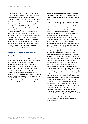September). In order to mitigate possible market risks, Sanoma has long-term undrawn committed bank facilities in place as back-up facilities for commercial papers. At the end of September, Sanoma had EUR 475 million undrawn committed facilities.

Sanoma's consolidated balance sheet included at the end of September EUR 1.2 billion in goodwill, immaterial rights and other intangible assets. Most of this is related to magazine and TV operations. Sanoma divested its Dutch TV operations on 19 July 2017, which reduced the amount of goodwill, immaterial rights and other intangible assets by EUR 0.9 billion. In accordance with IFRS, instead of goodwill being amortised regularly, it is tested for impairment on an annual basis, or whenever there is any indication of impairment. Changes in business fundamentals could lead to further impairment, thus impacting Sanoma's equity-related ratios.

# **Interim Report (unaudited)**

#### **Accounting policies**

The Sanoma Group has prepared its Interim Report in accordance with IAS 34 'Interim Financial Reporting' while adhering to related IFRS standards and interpretations applicable within the EU on 30 September 2017. The accounting policies of the Interim Report, the definitions of key indicators as well as the explanations of use and definitions of Alternative Performance Measures (APMs) are presented on the Sanoma website at Sanoma.com. All figures have been rounded and consequently the sum of individual figures can deviate from the presented sum figure. Key figures have been calculated using exact figures. This Interim Report is unaudited.

#### **IFRS 15 Revenue from Contracts with Customers and Clarifications to IFRS 15 (both effective for financial periods beginning on or after 1 January 2018).**

Under IFRS 15, revenue is recognised at an amount that reflects the consideration to which an entity expects to be entitled in exchange for transferring goods or services to a customer. The principles in IFRS 15 provide a more structured approach to measuring and recognising revenue. The new revenue standard is applicable to all entities and will supersede all current revenue recognition requirements under IFRS. Sanoma has started a project to assess the impact of IFRS 15 in 2016, which is continuing in 2017. The differences between current revenue recognition policies and the IFRS 15 requirements have been identified and quantified. The main revenue streams include magazine & newspaper publishing (circulation sales & advertising sales), TV & Radio operations, online and mobile revenues and learning solutions. For all revenue streams contract reviews of the key revenue contracts are in the process of being documented. In magazines & newspaper publishing, the main finding is the need to identify additional performance obligations in cases of providing gifts as premiums to new subscribers. Current TV & Radio revenue recognition is already strongly linked to individual performance obligations, hence the impact of IFRS 15 is considered to be limited. In the learning solutions, the main findings are related to revenues from hybrid products (combining print with digital products). In some cases, multiple performance obligations need to be acknowledged, which need to be recognised at different moments (over time or at a point in time), depending on the characteristics of the performance obligations. The impact on the Sanoma Group's annual net sales is considered insignificant, although the phasing over the individual quarters might be affected. In order to ensure full comparability, Sanoma has decided to apply the retrospective method. Whether or not any of the available practical expedients will be applied continues to be investigated in the fourth quarter of 2017. Preparations are in progress to change systems where necessary.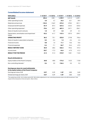# **Consolidated income statement**

| <b>EUR million</b>                                                                         | $7 - 9/2017$ | $7 - 9/2016$ | $1 - 9/2017$ | $1 - 9/2016$ | $1 - 12/2016$ |
|--------------------------------------------------------------------------------------------|--------------|--------------|--------------|--------------|---------------|
| <b>NET SALES</b>                                                                           | 404.6        | 438.1        | 1,189.9      | 1,241.0      | 1,639.1       |
| Other operating income                                                                     | 4.0          | 4.7          | 24.5         | 32.1         | 39.9          |
| Materials and services                                                                     | $-135.5$     | $-136.9$     | $-373.2$     | $-378.2$     | $-501.1$      |
| Employee benefit expenses                                                                  | $-81.9$      | $-87.4$      | $-267.6$     | $-223.4$     | $-325.5$      |
| Other operating expenses*                                                                  | $-70.6$      | $-82.7$      | $-681.5$     | $-247.1$     | $-356.1$      |
| Share of results in joint ventures                                                         | 1.0          | 0.9          | 3.3          | 2.9          | 0.1           |
| Depreciation, amortisation and impairment<br>losses                                        | $-35.3$      | $-61.7$      | $-147.4$     | $-207.5$     | $-299.7$      |
| <b>OPERATING PROFIT</b>                                                                    | 86.3         | 75.1         | $-252.0$     | 219.8        | 196.6         |
| Share of results in associated companies                                                   | 0.2          | $-0.4$       | 1.2          | $-0.4$       | $-2.4$        |
| Financial income                                                                           | 0.8          | 1.0          | 11.1         | 10.6         | 10.5          |
| Financial expenses                                                                         | $-5.4$       | $-7.1$       | $-26.7$      | $-34.4$      | $-47.5$       |
| <b>RESULT BEFORE TAXES</b>                                                                 | 82.0         | 68.6         | $-266.4$     | 195.6        | 157.2         |
| Income taxes                                                                               | $-20.7$      | $-17.3$      | $-44.6$      | $-47.5$      | $-41.2$       |
| <b>RESULT FOR THE PERIOD</b>                                                               | 61.3         | 51.3         | $-310.9$     | 148.1        | 116.0         |
| <b>Result attributable to:</b>                                                             |              |              |              |              |               |
| Equity holders of the Parent Company                                                       | 60.8         | 48.8         | $-174.5$     | 142.5        | 110.8         |
| Non-controlling interests*                                                                 | 0.4          | 2.5          | $-136.4$     | 5.5          | 5.2           |
| Earnings per share for result attributable<br>to the equity holders of the Parent Company: |              |              |              |              |               |
| Earnings per share, EUR                                                                    | 0.37         | 0.29         | $-1.07$      | 0.85         | 0.65          |
| Diluted earnings per share, EUR                                                            | 0.37         | 0.29         | $-1.07$      | 0.85         | 0.65          |

\*The capital loss of EUR -424.2 million and a EUR 138.3 million adjustment in non-controlling interests relate to the SBS divestment. Total impact of the transaction in the net result is -286.2 million.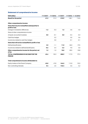# **Statement of comprehensive income**

| <b>EUR million</b>                                               | $7 - 9/2017$ | $7 - 9/2016$ | $1 - 9/2017$ |         | $1 - 9/2016$ $1 - 12/2016$ |
|------------------------------------------------------------------|--------------|--------------|--------------|---------|----------------------------|
| <b>Result for the period</b>                                     | 61.3         | 51.3         | $-310.9$     | 148.1   | 116.0                      |
| Other comprehensive income:                                      |              |              |              |         |                            |
| Items that may be reclassified subsequently to<br>profit or loss |              |              |              |         |                            |
| Change in translation differences                                | $-1.3$       | $-0.3$       | 1.3          | $-3.5$  | -4.5                       |
| Share of other comprehensive income                              |              |              |              |         |                            |
| of equity-accounted investees                                    | 0.0          | $-0.1$       | 0.0          | $-0.4$  | $-0.3$                     |
| Cash flow hedges                                                 |              | 0.2          |              | 0.5     | 0.6                        |
| Income tax related to cash flow hedges                           |              | 0.0          |              | $-0.1$  | $-0.1$                     |
| Items that will not be reclassified to profit or loss            |              |              |              |         |                            |
| Defined benefit plans                                            | 3.0          | $-1.1$       | 11.0         | $-36.0$ | $-19.5$                    |
| Income tax related to defined benefit plans                      | $-0.6$       | 0.4          | $-2.3$       | 9.0     | 5.0                        |
| Other comprehensive income for the period, net<br>of tax         | 1.2          | $-1.0$       | 10.0         | $-30.5$ | $-18.8$                    |
| <b>TOTAL COMPREHENSIVE INCOME FOR THE</b><br><b>PERIOD</b>       | 62.4         | 50.3         | $-300.9$     | 117.5   | 97.2                       |
| Total comprehensive income attributable to:                      |              |              |              |         |                            |
| Equity holders of the Parent Company                             | 62.0         | 47.8         | $-164.5$     | 112.0   | 92.0                       |
| Non-controlling interests                                        | 0.4          | 2.5          | $-136.4$     | 5.5     | 5.2                        |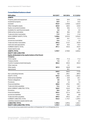# **Consolidated balance sheet**

| <b>EUR million</b>                                                 | 30.9.2017 | 30.9.2016 | 31.12.2016 |
|--------------------------------------------------------------------|-----------|-----------|------------|
| <b>ASSETS</b>                                                      |           |           |            |
| Property, plant and equipment                                      | 51.5      | 59.9      | 57.8       |
| Investment property                                                | 23.9      | 31.1      | 24.5       |
| Goodwill                                                           | 934.9     | 1,658.8   | 1,663.0    |
| Other intangible assets                                            | 262.0     | 468.3     | 432.8      |
| Equity-accounted investees                                         | 18.2      | 28.6      | 21.3       |
| Available-for-sale financial assets                                | 4.2       | 5.0       | 5.0        |
| Deferred tax receivables                                           | 26.1      | 38.6      | 29.9       |
| Trade and other receivables                                        | 17.9      | 33.3      | 21.8       |
| NON-CURRENT ASSETS, TOTAL                                          | 1,338.6   | 2,323.5   | 2,256.0    |
| Inventories                                                        | 45.9      | 46.1      | 41.4       |
| Income tax receivables                                             | 12.4      | 11.4      | 2.2        |
| Trade and other receivables                                        | 296.2     | 313.7     | 255.8      |
| Cash and cash equivalents                                          | 36.7      | 33.3      | 43.4       |
| <b>CURRENT ASSETS, TOTAL</b>                                       | 391.1     | 404.5     | 342.9      |
| Assets held for sale                                               |           |           | 6.8        |
| <b>ASSETS, TOTAL</b>                                               | 1,729.7   | 2,728.0   | 2,605.6    |
| <b>EQUITY AND LIABILITIES</b>                                      |           |           |            |
| Equity attributable to the equity holders of the Parent<br>Company |           |           |            |
| Share capital                                                      | 71.3      | 71.3      | 71.3       |
| Treasury shares                                                    | $-1.4$    | $-2.1$    | $-2.1$     |
| Fund for invested unrestricted equity                              | 203.3     | 203.3     | 203.3      |
| Other reserves                                                     |           | $-0.1$    |            |
| Other equity                                                       | 267.2     | 466.8     | 440.5      |
| Hybrid bond                                                        |           | 99.1      |            |
|                                                                    | 540.3     | 838.3     | 713.0      |
| Non-controlling interests                                          | 4.2       | 290.1     | 289.5      |
| EQUITY, TOTAL                                                      | 544.5     | 1,128.3   | 1,002.5    |
| Deferred tax liabilities                                           | 39.2      | 63.0      | 60.1       |
| Pension obligations                                                | 2.8       | 34.8      | 13.7       |
| Provisions                                                         | 6.6       | 3.4       | 7.6        |
| <b>Financial liabilities</b>                                       | 200.0     | 278.2     | 239.1      |
| Trade and other payables                                           | 12.4      | 44.6      | 42.9       |
| NON-CURRENT LIABILITIES, TOTAL                                     | 260.9     | 424.0     | 363.4      |
| Provisions                                                         | 18.3      | 20.4      | 18.1       |
| <b>Financial liabilities</b>                                       | 355.4     | 521.6     | 590.5      |
| Income tax liabilities                                             | 41.3      | 38.4      | 8.8        |
| Trade and other payables                                           | 509.3     | 595.3     | 622.1      |
| <b>CURRENT LIABILITIES, TOTAL</b>                                  | 924.3     | 1,175.7   | 1,239.5    |
| Liabilities related to assets held for sale                        |           |           | 0.3        |
| <b>LIABILITIES, TOTAL</b>                                          | 1,185.2   | 1,599.6   | 1,603.1    |
| <b>EQUITY AND LIABILITIES, TOTAL</b>                               | 1,729.7   | 2,728.0   | 2,605.6    |

The Group did not have assets held for sale either on 30 September 2017 or on 30 September 2016.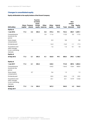# **Changes in consolidated equity**

#### **Equity attributable to the equity holders of the Parent Company**

|                                                                      |         | <b>Share Treasury</b> | <b>Fund for</b><br>invested<br>unres-<br>tricted | <b>Other</b>    | <b>Other</b> | <b>Hybrid</b> |          | Non-<br>control-<br>ling | Equity,  |
|----------------------------------------------------------------------|---------|-----------------------|--------------------------------------------------|-----------------|--------------|---------------|----------|--------------------------|----------|
| <b>EUR million</b>                                                   | capital | shares                |                                                  | equity reserves | equity       | bond          | Total    | interests                | total    |
| <b>Equity at</b>                                                     |         |                       |                                                  |                 |              |               |          |                          |          |
| 1 Jan 2016                                                           | 71.3    | $-3.2$                | 203.3                                            | $-0.5$          | 373.4        | 99.1          | 743.4    | 285.7                    | 1,029.1  |
| Comprehensive<br>income for the<br>period                            |         |                       |                                                  | 0.4             | 111.6        |               | 112.0    | 5.5                      | 117.5    |
| Share-based<br>compensation                                          |         | 1.0                   |                                                  |                 | $-0.3$       |               | 0.8      |                          | 0.8      |
| Dividends paid                                                       |         |                       |                                                  |                 | $-16.3$      |               | $-16.3$  | $-1.1$                   | $-17.3$  |
| Acquisitions and<br>other changes<br>in non-controlling<br>interests |         |                       |                                                  |                 | $-1.6$       |               | $-1.6$   | $-0.1$                   | $-1.8$   |
| <b>Equity at</b>                                                     |         |                       |                                                  |                 |              |               |          |                          |          |
| 30 Sep 2016                                                          | 71.3    | $-2.1$                | 203.3                                            | $-0.1$          | 466.8        | 99.1          | 838.3    | 290.1                    | 1,128.3  |
| <b>Equity at</b>                                                     |         |                       |                                                  |                 |              |               |          |                          |          |
| 1 Jan 2017                                                           | 71.3    | $-2.1$                | 203.3                                            |                 | 440.5        |               | 713.0    | 289.5                    | 1,002.5  |
| Comprehensive<br>income for the<br>period                            |         |                       |                                                  |                 | $-164.5$     |               | $-164.5$ | $-136.4$                 | $-300.9$ |
| Share-based<br>compensation                                          |         | 0.7                   |                                                  |                 | 0.6          |               | 1.3      |                          | 1.3      |
| Dividends paid                                                       |         |                       |                                                  |                 | $-32.5$      |               | $-32.5$  | $-1.0$                   | $-33.5$  |
| Acquisitions and<br>other changes<br>in non-controlling<br>interests |         |                       |                                                  |                 | 23.1         |               | 23.1     | $-147.9$                 | $-124.8$ |
| <b>Equity at</b>                                                     | 71.3    | $-1.4$                | 203.3                                            |                 | 267.2        |               | 540.3    | 4.2                      | 544.5    |
| 30 Sep 2017                                                          |         |                       |                                                  |                 |              |               |          |                          |          |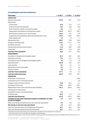| <b>EUR million</b>                                                                    | $1 - 9/2017$ | $1 - 9/2016$ | $1 - 12/2016$ |
|---------------------------------------------------------------------------------------|--------------|--------------|---------------|
| <b>OPERATIONS</b>                                                                     |              |              |               |
| Result for the period                                                                 | $-310.9$     | 148.1        | 116.0         |
| Adjustments                                                                           |              |              |               |
| Income taxes                                                                          | 44.6         | 47.5         | 41.2          |
| Financial income and expenses                                                         | 15.6         | 23.8         | 37.0          |
| Share of results in equity-accounted investees                                        | $-4.6$       | $-2.4$       | 2.4           |
| Depreciation, amortisation and impairment losses                                      | 147.4        | 207.5        | 299.7         |
| Gains/losses on sales of non-current assets                                           | 446.2        | $-18.7$      | $-19.5$       |
| Acquisitions of broadcasting rights and prepublication costs                          | $-144.5$     | $-165.8$     | $-207.2$      |
| Other adjustments                                                                     | 1.0          | 1.0          | 1.1           |
| Adjustments, total                                                                    | 505.7        | 92.8         | 154.6         |
| Change in working capital                                                             | $-116.2$     | $-141.7$     | $-47.9$       |
| Dividends received *                                                                  | 5.4          | 4.5          | 4.7           |
| Interest paid and other financial items                                               | $-11.2$      | $-36.0$      | $-45.8$       |
| Taxes paid                                                                            | $-24.7$      | $-15.6$      | $-23.4$       |
| <b>Cash flow from operations</b>                                                      | 48.2         | 52.1         | 158.1         |
| <b>INVESTMENTS</b>                                                                    |              |              |               |
| Acquisition of tangible and intangible assets                                         | $-27.0$      | $-22.9$      | $-34.5$       |
| Operations acquired                                                                   | $-3.0$       | $-21.6$      | $-21.8$       |
| Proceeds from sale of tangible and intangible assets                                  | 9.0          | 2.6          | 3.0           |
| Operations sold **                                                                    | 237.8        | 42.2         | 43.1          |
| Loans granted                                                                         | -0.1         | $-2.4$       | $-1.7$        |
| Repayments of loan receivables                                                        | 0.3          | 2.7          | 3.5           |
| Interest received                                                                     | 0.2          | 0.3          | 0.4           |
| <b>Cash flow from investments</b>                                                     | 217.1        | 0.9          | $-8.1$        |
| <b>Cash flow before financing</b>                                                     | 265.3        | 53.0         | 150.1         |
| <b>FINANCING</b>                                                                      |              |              |               |
| Redemption of hybrid bond                                                             |              |              | $-100.0$      |
| Contribution by non-controlling interests                                             |              |              | 0.0           |
| Change in loans with short maturity                                                   | $-72.8$      | $-56.4$      | 14.1          |
| Drawings of other loans                                                               | 172.7        | 240.0        | 240.1         |
| Repayments of other loans and finance lease liabilities                               | $-331.2$     | $-269.6$     | $-318.2$      |
| Interest paid on hybrid bond                                                          |              |              | $-7.3$        |
| Acquisitions of non-controlling interests                                             | $-7.4$       |              |               |
| Dividends paid                                                                        | $-33.5$      | $-17.3$      | $-17.6$       |
| <b>Cash flow from financing</b>                                                       | $-272.2$     | $-103.3$     | $-188.9$      |
| <b>CHANGE IN CASH AND CASH EQUIVALENTS ACCORDING TO CASH</b><br><b>FLOW STATEMENT</b> | $-6.9$       | $-50.3$      | $-38.8$       |
| Effect of exchange rate differences on cash and cash equivalents                      | 0.5          | $-0.8$       | $-0.7$        |
| Net change in cash and cash equivalents                                               | $-6.4$       | $-51.0$      | $-39.5$       |
| Cash and cash equivalents at the beginning of the period                              | 43.1         | 82.5         | 82.5          |
| Cash and cash equivalents at the end of the period                                    | 36.7         | 31.5         | 43.1          |

\* Dividends received transferred from the Cash flow from Investments to the Cash flow from operations.

\*\* Operations sold in 2017 include SBS, Sanoma Baltics and Kieskeurig.nl.

Cash and cash equivalents in the cash flow statement include cash and cash equivalents less bank overdrafts of EUR 0.0 million (2016:1.8).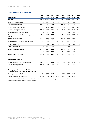| <b>EUR million</b>                                                                         | $1 - 3/$<br>2017 | $4 - 6/$<br>2017 | $7 - 9/$<br>2017 | $1 - 3/$<br>2016 | $4 - 6/$<br>2016 | 2016            | $7 - 9/10 - 12/$<br>2016 | $1 - 12/$<br>2016 |
|--------------------------------------------------------------------------------------------|------------------|------------------|------------------|------------------|------------------|-----------------|--------------------------|-------------------|
| <b>NET SALES</b>                                                                           | 343.8            | 441.4            | 404.6            | 353.1            | 449.7            | 438.1           |                          | 398.1 1,639.1     |
| Other operating income                                                                     | 6.2              | 14.4             | 4.0              | 21.8             | 5.6              | 4.7             | 7.8                      | 39.9              |
| Materials and services                                                                     | $-103.7$         | $-134.0$         | $-135.5$         | $-104.3$         |                  | $-137.0 -136.9$ | $-123.0$                 | $-501.1$          |
| Employee benefit expenses                                                                  | $-92.9$          | $-92.9$          | $-81.9$          | $-107.4$         | $-28.6$          | -87.4           | $-102.1$                 | $-325.5$          |
| Other operating expenses *                                                                 | $-499.3$         | $-111.6$         | $-70.6$          | $-89.5$          | $-74.9$          |                 | $-82.7 - 109.0 - 356.1$  |                   |
| Share of results in joint ventures                                                         | 1.0              | 1.3              | 1.0              | 1.0              | 0.9              | 0.9             | $-2.8$                   | 0.1               |
| Depreciation, amortisation and impairment<br>losses                                        | $-71.0$          | $-41.1$          | $-35.3$          | $-71.6$          | $-74.2$          | $-61.7$         |                          | $-92.2 -299.7$    |
| <b>OPERATING PROFIT</b>                                                                    | $-415.9$         | 77.6             | 86.3             | 3.1              | 141.7            | 75.1            | $-23.2$                  | 196.6             |
| Share of results in associated companies                                                   | 0.1              | 0.9              | 0.2              | 0.1              | $-0.2$           | $-0.4$          | $-2.0$                   | $-2.4$            |
| Financial income                                                                           | 4.7              | 5.5              | 0.8              | 9.2              | 0.4              | 1.0             | 0.0                      | 10.5              |
| <b>Financial expenses</b>                                                                  | $-11.3$          | $-10.0$          | $-5.4$           | $-17.9$          | $-9.4$           | $-7.1$          | $-13.2$                  | $-47.5$           |
| <b>RESULT BEFORE TAXES</b>                                                                 | $-422.4$         | 74.0             | 82.0             | $-5.5$           | 132.5            | 68.6            | $-38.4$                  | 157.2             |
| Income taxes                                                                               | $-0.7$           | $-23.2$          | $-20.7$          | 5.4              | $-35.6$          | $-17.3$         | 6.3                      | $-41.2$           |
| <b>RESULT FOR THE PERIOD</b>                                                               | $-423.0$         | 50.8             | 61.3             | $-0.1$           | 96.9             | 51.3            | $-32.1$                  | 116.0             |
| <b>Result attributable to:</b>                                                             |                  |                  |                  |                  |                  |                 |                          |                   |
| Equity holders of the Parent Company                                                       | $-285.1$         | 49.7             | 60.8             | 0.0              | 93.8             | 48.8            | $-31.8$                  | 110.8             |
| Non-controlling interests *                                                                | $-137.9$         | 1.1              | 0.4              | $-0.1$           | 3.1              | 2.5             | $-0.3$                   | 5.2               |
| Earnings per share for result attributable<br>to the equity holders of the Parent Company: |                  |                  |                  |                  |                  |                 |                          |                   |
| Earnings per share, EUR                                                                    | $-1.76$          | 0.31             | 0.37             | $-0.01$          | 0.57             | 0.29            | $-0.20$                  | 0.65              |
| Diluted earnings per share, EUR                                                            | $-1.76$          | 0.31             | 0.37             | $-0.01$          | 0.57             | 0.29            | $-0.20$                  | 0.65              |

\* The capital loss of EUR -424.2 million and a EUR 138.3 million adjustment in non-controlling interests relate to the SBS divestment. Total impact of the transaction in the net result is -286.2 million.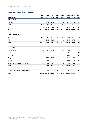# **Net sales by strategic business unit**

| <b>EUR million</b>                | $1 - 3/$<br>2017 | $4 - 6/$<br>2017 | $7 - 9/$<br>2017 | $1 - 3/$<br>2016 | $4 - 6/$<br>2016 | 2016   | $7 - 9/10 - 12/$<br>2016 | $1 - 12/$<br>2016 |
|-----------------------------------|------------------|------------------|------------------|------------------|------------------|--------|--------------------------|-------------------|
| <b>MEDIA BENE</b>                 |                  |                  |                  |                  |                  |        |                          |                   |
| Non-print                         | 76.4             | 97.2             | 27.5             | 77.8             | 99.0             | 81.9   | 117.6                    | 376.3             |
| Print                             | 80.9             | 87.4             | 80.9             | 87.1             | 92.1             | 85.5   | 88.9                     | 353.5             |
| Other                             | 10.8             | 11.9             | 12.4             | 10.8             | 11.5             | 12.3   | 11.5                     | 46.1              |
| <b>Total</b>                      | 168.1            | 196.5            | 120.8            | 175.6            | 202.6            | 179.7  | 218.0                    | 775.9             |
| <b>MEDIA FINLAND</b>              |                  |                  |                  |                  |                  |        |                          |                   |
| Non-print                         | 63.6             | 64.4             | 55.2             | 59.2             | 64.3             | 53.4   | 65.2                     | 242.0             |
| Print                             | 80.6             | 80.2             | 76.0             | 85.3             | 85.9             | 80.4   | 87.2                     | 338.9             |
| <b>Total</b>                      | 144.1            | 144.6            | 131.2            | 144.5            | 150.1            | 133.8  | 152.4                    | 580.9             |
| <b>LEARNING</b>                   |                  |                  |                  |                  |                  |        |                          |                   |
| Netherlands                       | 17.8             | 38.2             | 28.2             | 19.7             | 42.4             | 25.8   | 6.5                      | 94.4              |
| Poland                            | 4.3              | 5.6              | 79.8             | 4.5              | 8.2              | 50.1   | 8.0                      | 70.8              |
| Finland                           | 3.7              | 31.8             | 10.6             | 3.2              | 24.9             | 14.5   | 5.5                      | 48.1              |
| Belgium                           | 2.4              | 19.8             | 24.0             | 1.4              | 15.3             | 24.1   | 4.0                      | 44.8              |
| Sweden                            | 3.5              | 5.2              | 10.2             | 4.1              | 6.5              | 10.2   | 4.3                      | 25.1              |
| Other companies and eliminations  | 0.0              | $-0.2$           | $-0.1$           | $-0.1$           | $-0.3$           | 0.0    | $-0.2$                   | $-0.6$            |
| <b>Total</b>                      | 31.7             | 100.3            | 152.7            | 32.9             | 97.1             | 124.7  | 28.0                     | 282.6             |
| Other operations and eliminations | $-0.1$           | $-0.1$           | $-0.1$           | 0.1              | $-0.1$           | $-0.1$ | $-0.3$                   | $-0.3$            |
| <b>Total</b>                      | 343.8            | 441.4            | 404.6            | 353.1            | 449.7            | 438.1  |                          | 398.1 1,639.1     |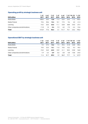# **Operating profit by strategic business unit**

|                                  | 1–3/     | $4 - 6/$ | $7 - 9/$ | $1 - 3/$ | $4 - 6/$ |        | 7-9/10-12/ 1-12/ |         |
|----------------------------------|----------|----------|----------|----------|----------|--------|------------------|---------|
| <b>EUR million</b>               | 2017     | 2017     | 2017     | 2016     | 2016     | 2016   | 2016             | 2016    |
| Media BeNe                       | $-408.0$ | 20.5     | 12.8     | 11.4     | 53.9     | 24.0   | 11.2             | 100.6   |
| Media Finland                    | 19.6     | 30.6     | 13.4     | 10.1     | 17.5     | 9.6    | 4.0              | 41.3    |
| Learning                         | $-15.5$  | 25.0     | 62.6     | $-11.1$  | 63.8     | 48.8   | $-34.0$          | 67.4    |
| Other companies and eliminations | $-11.8$  | 1.5      | $-2.4$   | $-7.3$   | 6.5      | $-7.3$ | -44              | $-12.6$ |
| Total                            | $-415.9$ | 77.6     | 86.3     | 3.1      | 141.7    | 75.1   | $-23.2$          | 196.6   |

# **Operational EBIT by strategic business unit**

|                                  | $1 - 3/$ | $4 - 6/$ | 7-9/   | $1 - 3/$ |        | $4 - 6/7 - 9/10 - 12/$ |         | 1-12/   |
|----------------------------------|----------|----------|--------|----------|--------|------------------------|---------|---------|
| <b>EUR million</b>               | 2017     | 2017     | 2017   | 2016     | 2016   | 2016                   | 2016    | 2016    |
| Media BeNe                       | 9.3      | 27.5     | 15.6   | 7.4      | 29.6   | 21.8                   | 26.8    | 85.6    |
| Media Finland                    | 19.0     | 22.5     | 14.1   | 11.0     | 19.0   | 10.2                   | 9.3     | 49.5    |
| Learning                         | $-15.0$  | 34.0     | 62.5   | $-10.9$  | 41.1   | 50.5                   | $-23.8$ | 56.8    |
| Other companies and eliminations | $-1.9$   | $-2.4$   | $-2.9$ | $-5.6$   | $-2.8$ | -4.8                   | $-10.8$ | $-24.0$ |
| Total                            | 11.4     | 81.7     | 89.3   | 1.9      | 86.9   | 77.7                   | 1.4     | 167.9   |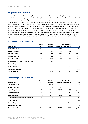# **Segment information**

In connection with the SBS divestment, Sanoma decided to change its segment reporting. Therefore, Sanoma now reports three operating segments, i.e. its three strategic business units Sanoma Media BeNe, Sanoma Media Finland and Sanoma Learning. This is aligned with the way Sanoma manages the businesses.

Sanoma Media BeNe includes the Dutch and Belgian consumer media operations (magazines, events, custom media, websites and apps) as well as the Dutch press distribution business Aldipress. Sanoma Media Finland is the leading multi-channel media company in Finland with a portfolio of magazines, newspapers, TV, radio, online and mobile channels. Learning is a leading European provider of multi-channel learning solutions. Learning's main markets are Belgium, Finland, the Netherlands, Poland and Sweden. In addition to the Group eliminations, the column unallocated/eliminations includes non-core operations, head office functions, real estate companies as well as items not allocated to segments. Segment assets do not include cash and cash equivalents, interest-bearing receivables, tax receivables or deferred tax receivables. Transactions between segments are based on market prices.

#### **Sanoma segments 1.1–30.9.2017**

| <b>EUR million</b>                       | Media<br><b>BeNe</b> | Media<br><b>Finland</b> |       | Unallocated/<br><b>Learning eliminations</b> | Total    |
|------------------------------------------|----------------------|-------------------------|-------|----------------------------------------------|----------|
| External net sales                       | 485.4                | 419.7                   | 284.7 |                                              | 1,189.9  |
| Internal net sales                       |                      | 0.2                     | 0.0   | $-0.2$                                       |          |
| Net sales, total                         | 485.4                | 420.0                   | 284.7 | $-0.2$                                       | 1,189.9  |
| <b>Operating profit</b>                  | $-374.8$             | 63.6                    | 72.0  | $-12.8$                                      | $-252.0$ |
| <b>Operational EBIT</b>                  | 52.4                 | 55.7                    | 81.5  | $-7.2$                                       | 182.4    |
| Share of results in associated companies | 1.0                  | 0.2                     |       |                                              | 1.2      |
| Financial income                         |                      |                         |       | 11.1                                         | 11.1     |
| Financial expenses                       |                      |                         |       | $-26.7$                                      | $-26.7$  |
| <b>Result before taxes</b>               |                      |                         |       |                                              | $-266.4$ |
| Segment assets                           | 744.8                | 264.0                   | 590.9 | 52.4                                         | 1,652.1  |

#### **Sanoma segments 1.1–30.9.2016**

| <b>EUR million</b>                       | Media<br><b>BeNe</b> | Media<br><b>Finland</b> | Learning | Unallocated/<br>eliminations | Total   |
|------------------------------------------|----------------------|-------------------------|----------|------------------------------|---------|
| External net sales                       | 557.9                | 428.2                   | 254.6    | 0.2                          | 1,241.0 |
| Internal net sales                       |                      | 0.3                     | 0.0      | $-0.3$                       |         |
| Net sales, total                         | 557.9                | 428.5                   | 254.6    | 0.0                          | 1,241.0 |
| <b>Operating profit</b>                  | 89.3                 | 37.2                    | 101.4    | $-8.2$                       | 219.8   |
| <b>Operational EBIT</b>                  | 58.8                 | 40.3                    | 80.6     | $-13.2$                      | 166.5   |
| Share of results in associated companies | $-0.3$               | 0.2                     | $-0.4$   |                              | $-0.4$  |
| Financial income                         |                      |                         |          | 10.6                         | 10.6    |
| Financial expenses                       |                      |                         |          | $-34.4$                      | $-34.4$ |
| <b>Result before taxes</b>               |                      |                         |          |                              | 195.6   |
| <b>Segment assets</b>                    | 1,719.3              | 297.6                   | 572.3    | 50.2                         | 2,639.4 |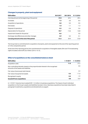| <b>EUR million</b>                             | 30.9.2017 | 30.9.2016 | 31.12.2016 |
|------------------------------------------------|-----------|-----------|------------|
| Carrying amount at the beginning of the period | 57.8      | 69.4      | 69.4       |
| Increases                                      | 7.3       | 6.0       | 8.4        |
| Acquisition of operations                      | 0.0       | 0.5       | 0.5        |
| Decreases                                      | $-1.0$    | $-1.1$    | $-1.3$     |
| Disposal of operations                         | $-2.3$    | $-2.6$    | $-2.6$     |
| Depreciation for the period                    | $-10.7$   | $-12.6$   | $-16.8$    |
| Impairment losses for the period               | $-0.6$    |           | 0.0        |
| Exchange rate differences and other changes    | 0.9       | 0.2       | 0.1        |
| Carrying amount at the end of the period       | 51.5      | 59.9      | 57.8       |

The Group had no commitments for acquisition of property, plant and equipment at the end of the reporting period or in the comparative period.

At the end of the reporting period, the commitments for acquisition of intangible assets (film and TV broadcasting rights included) were EUR 26.6 million (2016: 161.5).

#### **Effect of acquisitions on the consolidated balance sheet**

| <b>EUR million</b>                                                                                                        | $1 - 9/2017$ | 1-12/2016     |
|---------------------------------------------------------------------------------------------------------------------------|--------------|---------------|
| Acquisition costs                                                                                                         | 11.0         | 27.2          |
| Non-controlling interests, based on the proportionate interest in the recognised<br>amounts of the assets and liabilities |              | 0.0           |
| Fair value of previously held interest                                                                                    |              | $2.2^{\circ}$ |
| Fair value of acquired net assets                                                                                         | $-3.6$       | $-11.6$       |
| Recognised in equity                                                                                                      | -6.6         | $-1.9$        |
| <b>Goodwill from acquisitions</b>                                                                                         | 0.8          | 15.9          |

In 1-9/2017, Sanoma has invested EUR 11.0 million in business acquisitions. The impact of each individual acquisition on the Group's assets and liabilities has been minor. Business acquisitions have been described in paragraph Investments, acquisitions and divestments on page 8.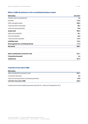# **Effect of SBS divestment on the consolidated balance sheet**

| <b>EUR million</b>                    | 30.9.2017 |
|---------------------------------------|-----------|
| Property, plant and equipment         | 2.6       |
| Goodwill                              | 715.5     |
| Other intangible assets               | 200.3     |
| Trade and other receivables           | 38.3      |
| Cash and cash equivalents             | 25.8      |
| Assets total                          | 982.5     |
| Deferred tax liabilities              | 18.1      |
| <b>Financial liabilities</b>          | 46.0      |
| Trade and other payables              | 112.4     |
| Liabilities total                     | 176.6     |
| Derecognised non-controlling interest | 117.2     |
| <b>Net assets</b>                     | 688.7     |

| Sales consideration received in cash | 237.1 |
|--------------------------------------|-------|
| <b>Transaction fees paid</b>         | -5.6  |
| <b>Capital loss</b>                  | 457.2 |

# **Cash flow from sale of SBS**

| <b>EUR million</b>                               |         |
|--------------------------------------------------|---------|
| Sales consideration received in cash             | 237.1   |
| Transaction fees paid                            | $-5.6$  |
| Cash and cash equivalents of divested operations | $-25.8$ |
| Cash flow from sale of SBS                       | 205.6   |

Cash flow from other divested operations was EUR 32.1 million at 30 September 2017.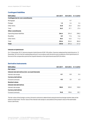### **Contingent liabilities**

| <b>EUR million</b>                       | 30.9.2017 | 30.9.2016 | 31.12.2016 |
|------------------------------------------|-----------|-----------|------------|
| <b>Contingencies for own commitments</b> |           |           |            |
| Mortgages                                |           | 9.7       |            |
| Pledges                                  | 1.5       | 2.4       | 2.4        |
| Other items                              | 24.8      | 25.0      | 25.0       |
| Total                                    | 26.3      | 37.1      | 27.4       |
| <b>Other commitments</b>                 |           |           |            |
| Operating lease liabilities              | 264.4     | 294.3     | 298.2      |
| Royalties                                | 8.9       | 17.6      | 14.6       |
| Other items                              | 50.3      | 42.5      | 71.2       |
| Total                                    | 323.6     | 354.5     | 384.0      |
| <b>Total</b>                             | 349.8     | 391.6     | 411.4      |

#### **Interest on hybrid bond**

On 12 December 2013, Sanoma issued a hybrid bond of EUR 100 million. Sanoma redeemed the hybrid bond on 12 December 2016 for the full outstanding amount in accordance with the terms and conditions of the hybrid bond. At the end of the comparative period the unpaid interest on the hybrid bond was EUR 5.8 million.

#### **Derivative instruments**

| <b>EUR million</b>                                  | 30.9.2017 | 30.9.2016 | 31.12.2016 |
|-----------------------------------------------------|-----------|-----------|------------|
| <b>Fair values</b>                                  |           |           |            |
| Interest rate derivatives (incl. accrued interests) |           |           |            |
| Interest rate swaps                                 | $-0.1$    | $-0.8$    | $-0.4$     |
| <b>Currency derivatives</b>                         |           |           |            |
| Forward contracts                                   | $-0.3$    | 3.5       | 6.3        |
| <b>Nominal values</b>                               |           |           |            |
| Interest rate derivatives                           |           |           |            |
| Interest rate swaps                                 | 100.0     | 200.0     | 100.0      |
| <b>Currency derivatives</b>                         |           |           |            |
| Forward contracts                                   | 94.8      | 100.6     | 82.1       |

The fair value of the foreign currency forward contracts is determined using forward exchange market rates at the balance sheet date. The fair value of the interest rate swaps is calculated as the present value of the estimated future cash flows.